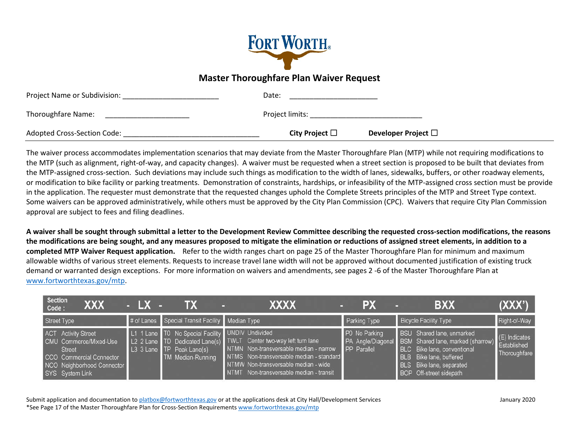

## **Master Thoroughfare Plan Waiver Request**

| Project Name or Subdivision: | Date:               |                          |  |
|------------------------------|---------------------|--------------------------|--|
| Thoroughfare Name:           | Project limits:     |                          |  |
| Adopted Cross-Section Code:  | City Project $\Box$ | Developer Project $\Box$ |  |

The waiver process accommodates implementation scenarios that may deviate from the Master Thoroughfare Plan (MTP) while not requiring modifications to the MTP (such as alignment, right-of-way, and capacity changes). A waiver must be requested when a street section is proposed to be built that deviates from the MTP-assigned cross-section. Such deviations may include such things as modification to the width of lanes, sidewalks, buffers, or other roadway elements, or modification to bike facility or parking treatments. Demonstration of constraints, hardships, or infeasibility of the MTP-assigned cross section must be provide in the application. The requester must demonstrate that the requested changes uphold the Complete Streets principles of the MTP and Street Type context. Some waivers can be approved administratively, while others must be approved by the City Plan Commission (CPC). Waivers that require City Plan Commission approval are subject to fees and filing deadlines.

**A waiver shall be sought through submittal a letter to the Development Review Committee describing the requested cross-section modifications, the reasons the modifications are being sought, and any measures proposed to mitigate the elimination or reductions of assigned street elements, in addition to a completed MTP Waiver Request application.** Refer to the width ranges chart on page 25 of the Master Thoroughfare Plan for minimum and maximum allowable widths of various street elements. Requests to increase travel lane width will not be approved without documented justification of existing truck demand or warranted design exceptions. For more information on waivers and amendments, see pages 2 -6 of the Master Thoroughfare Plan at [www.fortworthtexas.gov/mtp.](http://www.fortworthtexas.gov/mtp)

| Section<br>XXX<br>Code:                                                                                                                            | $-LX -$ | ID)                                                                                                       | XXXX                                                                                                                                                                                                                                       | PX                           | <b>BXX</b>                                                                                                                                                                                               | (XXX')                                         |
|----------------------------------------------------------------------------------------------------------------------------------------------------|---------|-----------------------------------------------------------------------------------------------------------|--------------------------------------------------------------------------------------------------------------------------------------------------------------------------------------------------------------------------------------------|------------------------------|----------------------------------------------------------------------------------------------------------------------------------------------------------------------------------------------------------|------------------------------------------------|
| Street Type                                                                                                                                        |         | # of Lanes Special Transit Facility Median Type                                                           |                                                                                                                                                                                                                                            | Parking Type                 | <b>Bicycle Facility Type</b>                                                                                                                                                                             | Right-of-Way                                   |
| <b>ACT</b> Activity Street<br>CMU Commerce/Mixed-Use<br><b>Street</b><br>CCO Commercial Connector<br>NCO Neighborhood Connector<br>SYS System Link |         | L1 1 Lane T0 No Special Facility UNDIV Undivided<br>L3 3 Lane <b>TP</b> Peak Lane(s)<br>TM Median-Running | L2 2 Lane TD Dedicated Lane(s) TWLT Center two-way left turn lane<br>NTMN Non-transversable median - narrow<br>NTMS Non-transversable median - standard<br>NTMW Non-transversable median - wide<br>NTMT Non-transversable median - transit | P0 No Parking<br>PP Parallel | BSU Shared lane, unmarked<br>PA Angle/Diagonal BSM Shared lane, marked (sharrow)<br><b>BLC</b> Bike lane, conventional<br>BLB Bike lane, buffered<br>BLS Bike lane, separated<br>BOP Off-street sidepath | $(E)$ Indicates<br>Established<br>Thoroughfare |

Submit application and documentation t[o platbox@fortworthtexas.gov](mailto:platbox@fortworthtexas.gov) or at the applications desk at City Hall/Development Services January 2020 \*See Page 17 of the Master Thoroughfare Plan for Cross-Section Requirements [www.fortworthtexas.gov/mtp](http://www.fortworthtexas.gov/mtp)